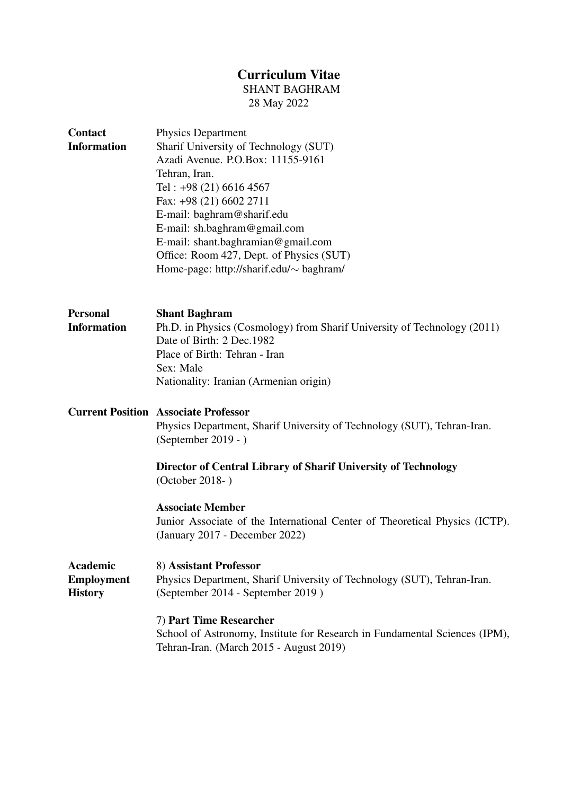# Curriculum Vitae

SHANT BAGHRAM

28 May 2022

| <b>Physics Department</b><br>Sharif University of Technology (SUT)<br>Azadi Avenue. P.O.Box: 11155-9161<br>Tehran, Iran.<br>Tel: $+98(21)$ 6616 4567<br>Fax: +98 (21) 6602 2711<br>E-mail: baghram@sharif.edu<br>E-mail: sh.baghram@gmail.com<br>E-mail: shant.baghramian@gmail.com<br>Office: Room 427, Dept. of Physics (SUT)<br>Home-page: http://sharif.edu/ $\sim$ baghram/ |
|----------------------------------------------------------------------------------------------------------------------------------------------------------------------------------------------------------------------------------------------------------------------------------------------------------------------------------------------------------------------------------|
| <b>Shant Baghram</b><br>Ph.D. in Physics (Cosmology) from Sharif University of Technology (2011)<br>Date of Birth: 2 Dec.1982<br>Place of Birth: Tehran - Iran<br>Sex: Male<br>Nationality: Iranian (Armenian origin)                                                                                                                                                            |
| <b>Current Position Associate Professor</b><br>Physics Department, Sharif University of Technology (SUT), Tehran-Iran.<br>(September 2019 - )<br>Director of Central Library of Sharif University of Technology<br>(October 2018-)                                                                                                                                               |
| <b>Associate Member</b><br>Junior Associate of the International Center of Theoretical Physics (ICTP).<br>(January 2017 - December 2022)                                                                                                                                                                                                                                         |
| 8) Assistant Professor<br>Physics Department, Sharif University of Technology (SUT), Tehran-Iran.<br>(September 2014 - September 2019)                                                                                                                                                                                                                                           |
| 7) Part Time Researcher<br>School of Astronomy, Institute for Research in Fundamental Sciences (IPM),<br>Tehran-Iran. (March 2015 - August 2019)                                                                                                                                                                                                                                 |
|                                                                                                                                                                                                                                                                                                                                                                                  |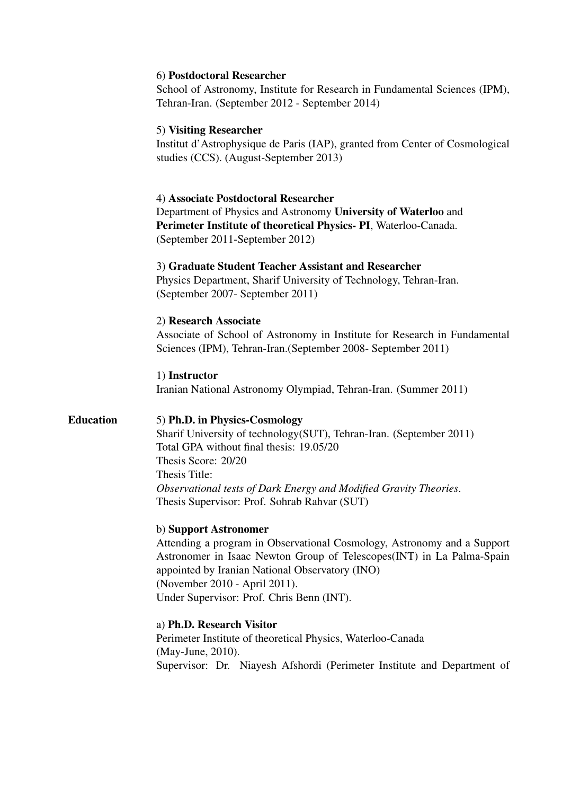# 6) Postdoctoral Researcher

School of Astronomy, Institute for Research in Fundamental Sciences (IPM), Tehran-Iran. (September 2012 - September 2014)

# 5) Visiting Researcher

Institut d'Astrophysique de Paris (IAP), granted from Center of Cosmological studies (CCS). (August-September 2013)

### 4) Associate Postdoctoral Researcher

Department of Physics and Astronomy University of Waterloo and Perimeter Institute of theoretical Physics- PI, Waterloo-Canada. (September 2011-September 2012)

# 3) Graduate Student Teacher Assistant and Researcher

Physics Department, Sharif University of Technology, Tehran-Iran. (September 2007- September 2011)

### 2) Research Associate

Associate of School of Astronomy in Institute for Research in Fundamental Sciences (IPM), Tehran-Iran.(September 2008- September 2011)

1) Instructor Iranian National Astronomy Olympiad, Tehran-Iran. (Summer 2011)

# Education 5) Ph.D. in Physics-Cosmology

Sharif University of technology(SUT), Tehran-Iran. (September 2011) Total GPA without final thesis: 19.05/20 Thesis Score: 20/20 Thesis Title: *Observational tests of Dark Energy and Modified Gravity Theories*. Thesis Supervisor: Prof. Sohrab Rahvar (SUT)

### b) Support Astronomer

Attending a program in Observational Cosmology, Astronomy and a Support Astronomer in Isaac Newton Group of Telescopes(INT) in La Palma-Spain appointed by Iranian National Observatory (INO) (November 2010 - April 2011). Under Supervisor: Prof. Chris Benn (INT).

### a) Ph.D. Research Visitor

Perimeter Institute of theoretical Physics, Waterloo-Canada (May-June, 2010). Supervisor: Dr. Niayesh Afshordi (Perimeter Institute and Department of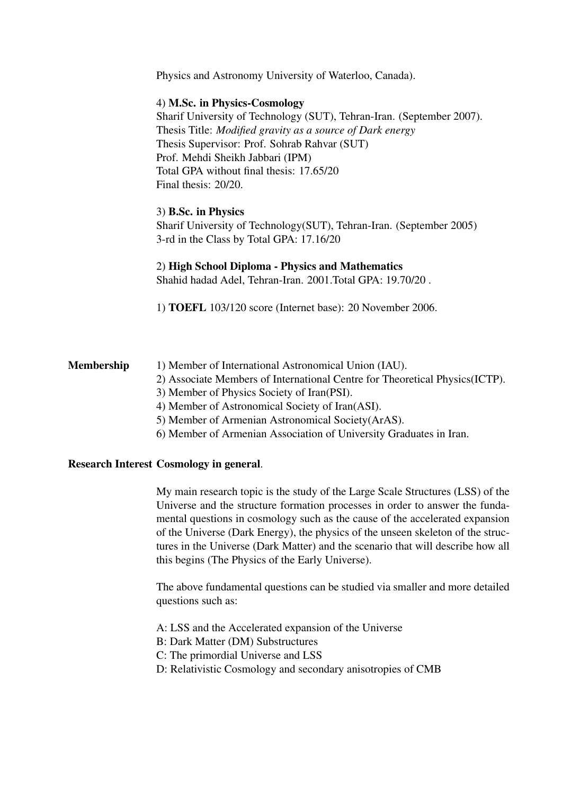Physics and Astronomy University of Waterloo, Canada).

## 4) M.Sc. in Physics-Cosmology

Sharif University of Technology (SUT), Tehran-Iran. (September 2007). Thesis Title: *Modified gravity as a source of Dark energy* Thesis Supervisor: Prof. Sohrab Rahvar (SUT) Prof. Mehdi Sheikh Jabbari (IPM) Total GPA without final thesis: 17.65/20 Final thesis: 20/20.

# 3) B.Sc. in Physics

Sharif University of Technology(SUT), Tehran-Iran. (September 2005) 3-rd in the Class by Total GPA: 17.16/20

### 2) High School Diploma - Physics and Mathematics

Shahid hadad Adel, Tehran-Iran. 2001.Total GPA: 19.70/20 .

1) TOEFL 103/120 score (Internet base): 20 November 2006.

# Membership 1) Member of International Astronomical Union (IAU).

- 2) Associate Members of International Centre for Theoretical Physics(ICTP).
- 3) Member of Physics Society of Iran(PSI).
- 4) Member of Astronomical Society of Iran(ASI).
- 5) Member of Armenian Astronomical Society(ArAS).
- 6) Member of Armenian Association of University Graduates in Iran.

# Research Interest Cosmology in general.

My main research topic is the study of the Large Scale Structures (LSS) of the Universe and the structure formation processes in order to answer the fundamental questions in cosmology such as the cause of the accelerated expansion of the Universe (Dark Energy), the physics of the unseen skeleton of the structures in the Universe (Dark Matter) and the scenario that will describe how all this begins (The Physics of the Early Universe).

The above fundamental questions can be studied via smaller and more detailed questions such as:

- A: LSS and the Accelerated expansion of the Universe
- B: Dark Matter (DM) Substructures
- C: The primordial Universe and LSS
- D: Relativistic Cosmology and secondary anisotropies of CMB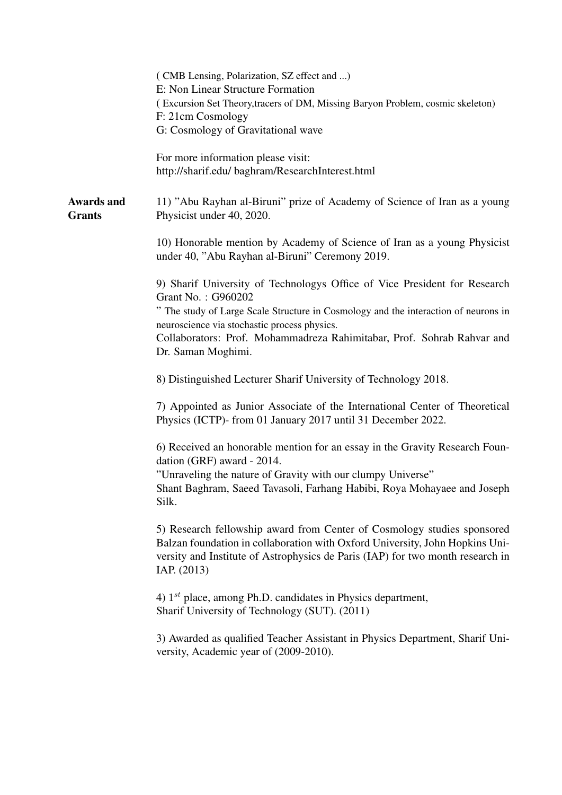|                                    | (CMB Lensing, Polarization, SZ effect and )<br>E: Non Linear Structure Formation<br>(Excursion Set Theory, tracers of DM, Missing Baryon Problem, cosmic skeleton)<br>F: 21cm Cosmology<br>G: Cosmology of Gravitational wave                                                                                                          |
|------------------------------------|----------------------------------------------------------------------------------------------------------------------------------------------------------------------------------------------------------------------------------------------------------------------------------------------------------------------------------------|
|                                    | For more information please visit:<br>http://sharif.edu/ baghram/ResearchInterest.html                                                                                                                                                                                                                                                 |
| <b>Awards and</b><br><b>Grants</b> | 11) "Abu Rayhan al-Biruni" prize of Academy of Science of Iran as a young<br>Physicist under 40, 2020.                                                                                                                                                                                                                                 |
|                                    | 10) Honorable mention by Academy of Science of Iran as a young Physicist<br>under 40, "Abu Rayhan al-Biruni" Ceremony 2019.                                                                                                                                                                                                            |
|                                    | 9) Sharif University of Technologys Office of Vice President for Research<br>Grant No.: G960202<br>" The study of Large Scale Structure in Cosmology and the interaction of neurons in<br>neuroscience via stochastic process physics.<br>Collaborators: Prof. Mohammadreza Rahimitabar, Prof. Sohrab Rahvar and<br>Dr. Saman Moghimi. |
|                                    | 8) Distinguished Lecturer Sharif University of Technology 2018.                                                                                                                                                                                                                                                                        |
|                                    | 7) Appointed as Junior Associate of the International Center of Theoretical<br>Physics (ICTP)- from 01 January 2017 until 31 December 2022.                                                                                                                                                                                            |
|                                    | 6) Received an honorable mention for an essay in the Gravity Research Foun-<br>dation (GRF) award - 2014.<br>"Unraveling the nature of Gravity with our clumpy Universe"<br>Shant Baghram, Saeed Tavasoli, Farhang Habibi, Roya Mohayaee and Joseph<br>Silk.                                                                           |
|                                    | 5) Research fellowship award from Center of Cosmology studies sponsored<br>Balzan foundation in collaboration with Oxford University, John Hopkins Uni-<br>versity and Institute of Astrophysics de Paris (IAP) for two month research in<br>IAP. (2013)                                                                               |
|                                    | 4) $1^{st}$ place, among Ph.D. candidates in Physics department,<br>Sharif University of Technology (SUT). (2011)                                                                                                                                                                                                                      |
|                                    | 3) Awarded as qualified Teacher Assistant in Physics Department, Sharif Uni-<br>versity, Academic year of (2009-2010).                                                                                                                                                                                                                 |
|                                    |                                                                                                                                                                                                                                                                                                                                        |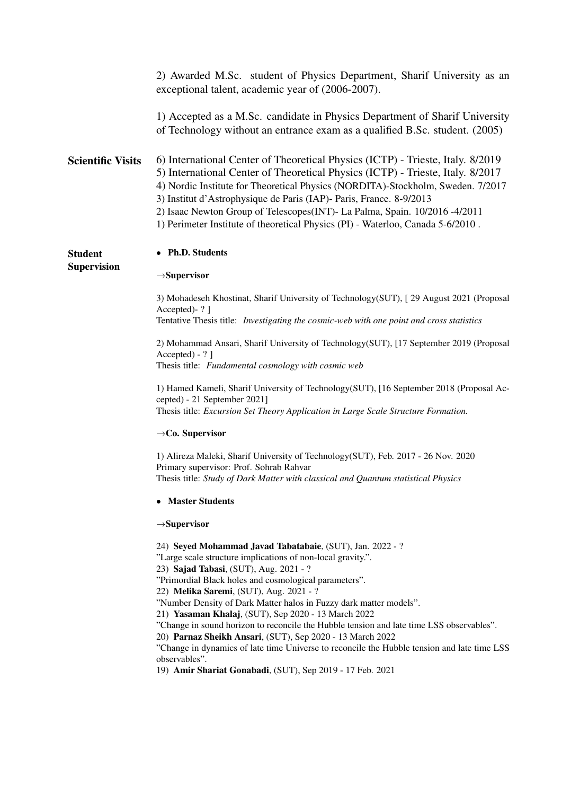|                          | 2) Awarded M.Sc. student of Physics Department, Sharif University as an<br>exceptional talent, academic year of (2006-2007).                                                                                                                                                                                                                                                                                                                                                                |
|--------------------------|---------------------------------------------------------------------------------------------------------------------------------------------------------------------------------------------------------------------------------------------------------------------------------------------------------------------------------------------------------------------------------------------------------------------------------------------------------------------------------------------|
|                          | 1) Accepted as a M.Sc. candidate in Physics Department of Sharif University<br>of Technology without an entrance exam as a qualified B.Sc. student. (2005)                                                                                                                                                                                                                                                                                                                                  |
| <b>Scientific Visits</b> | 6) International Center of Theoretical Physics (ICTP) - Trieste, Italy. 8/2019<br>5) International Center of Theoretical Physics (ICTP) - Trieste, Italy. 8/2017<br>4) Nordic Institute for Theoretical Physics (NORDITA)-Stockholm, Sweden. 7/2017<br>3) Institut d'Astrophysique de Paris (IAP)- Paris, France. 8-9/2013<br>2) Isaac Newton Group of Telescopes(INT)- La Palma, Spain. 10/2016 -4/2011<br>1) Perimeter Institute of theoretical Physics (PI) - Waterloo, Canada 5-6/2010. |
| <b>Student</b>           | • Ph.D. Students                                                                                                                                                                                                                                                                                                                                                                                                                                                                            |
| <b>Supervision</b>       | $\rightarrow$ Supervisor                                                                                                                                                                                                                                                                                                                                                                                                                                                                    |
|                          | 3) Mohadeseh Khostinat, Sharif University of Technology(SUT), [29 August 2021 (Proposal<br>Accepted)-?]<br>Tentative Thesis title: <i>Investigating the cosmic-web with one point and cross statistics</i>                                                                                                                                                                                                                                                                                  |
|                          | 2) Mohammad Ansari, Sharif University of Technology (SUT), [17 September 2019 (Proposal<br>$Accepted) - ?$ ]<br>Thesis title: Fundamental cosmology with cosmic web                                                                                                                                                                                                                                                                                                                         |
|                          | 1) Hamed Kameli, Sharif University of Technology(SUT), [16 September 2018 (Proposal Ac-<br>cepted) - 21 September 2021]<br>Thesis title: Excursion Set Theory Application in Large Scale Structure Formation.                                                                                                                                                                                                                                                                               |
|                          | $\rightarrow$ Co. Supervisor                                                                                                                                                                                                                                                                                                                                                                                                                                                                |
|                          | 1) Alireza Maleki, Sharif University of Technology(SUT), Feb. 2017 - 26 Nov. 2020<br>Primary supervisor: Prof. Sohrab Rahvar<br>Thesis title: Study of Dark Matter with classical and Quantum statistical Physics                                                                                                                                                                                                                                                                           |
|                          | • Master Students                                                                                                                                                                                                                                                                                                                                                                                                                                                                           |
|                          | $\rightarrow$ Supervisor                                                                                                                                                                                                                                                                                                                                                                                                                                                                    |
|                          | 24) Seyed Mohammad Javad Tabatabaie, (SUT), Jan. 2022 - ?<br>"Large scale structure implications of non-local gravity.".<br>23) Sajad Tabasi, (SUT), Aug. 2021 - ?<br>"Primordial Black holes and cosmological parameters".<br>22) Melika Saremi, (SUT), Aug. 2021 - ?<br>"Number Density of Dark Matter halos in Fuzzy dark matter models".                                                                                                                                                |
|                          | 21) Yasaman Khalaj, (SUT), Sep 2020 - 13 March 2022<br>"Change in sound horizon to reconcile the Hubble tension and late time LSS observables".<br>20) Parnaz Sheikh Ansari, (SUT), Sep 2020 - 13 March 2022<br>"Change in dynamics of late time Universe to reconcile the Hubble tension and late time LSS<br>observables".<br>19) Amir Shariat Gonabadi, (SUT), Sep 2019 - 17 Feb. 2021                                                                                                   |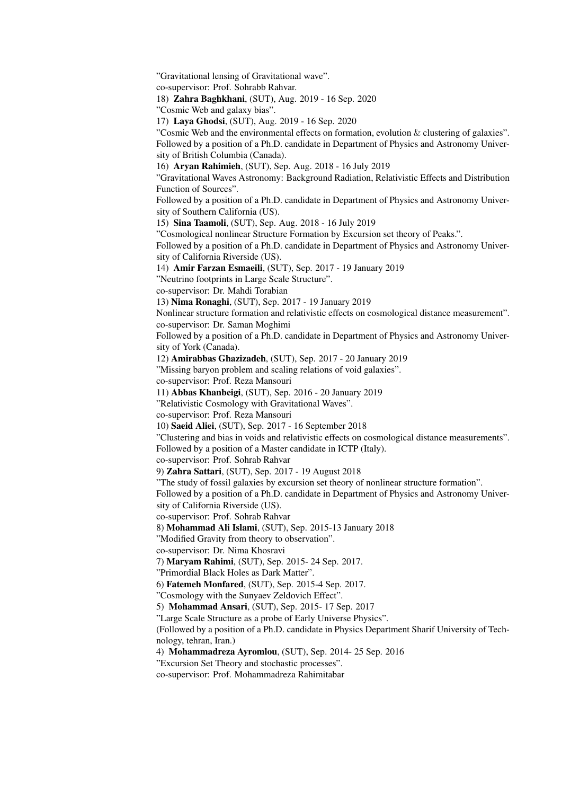"Gravitational lensing of Gravitational wave". co-supervisor: Prof. Sohrabb Rahvar. 18) Zahra Baghkhani, (SUT), Aug. 2019 - 16 Sep. 2020 "Cosmic Web and galaxy bias". 17) Laya Ghodsi, (SUT), Aug. 2019 - 16 Sep. 2020 "Cosmic Web and the environmental effects on formation, evolution  $&$  clustering of galaxies". Followed by a position of a Ph.D. candidate in Department of Physics and Astronomy University of British Columbia (Canada). 16) Aryan Rahimieh, (SUT), Sep. Aug. 2018 - 16 July 2019 "Gravitational Waves Astronomy: Background Radiation, Relativistic Effects and Distribution Function of Sources". Followed by a position of a Ph.D. candidate in Department of Physics and Astronomy University of Southern California (US). 15) Sina Taamoli, (SUT), Sep. Aug. 2018 - 16 July 2019 "Cosmological nonlinear Structure Formation by Excursion set theory of Peaks.". Followed by a position of a Ph.D. candidate in Department of Physics and Astronomy University of California Riverside (US). 14) Amir Farzan Esmaeili, (SUT), Sep. 2017 - 19 January 2019 "Neutrino footprints in Large Scale Structure". co-supervisor: Dr. Mahdi Torabian 13) Nima Ronaghi, (SUT), Sep. 2017 - 19 January 2019 Nonlinear structure formation and relativistic effects on cosmological distance measurement". co-supervisor: Dr. Saman Moghimi Followed by a position of a Ph.D. candidate in Department of Physics and Astronomy University of York (Canada). 12) Amirabbas Ghazizadeh, (SUT), Sep. 2017 - 20 January 2019 "Missing baryon problem and scaling relations of void galaxies". co-supervisor: Prof. Reza Mansouri 11) Abbas Khanbeigi, (SUT), Sep. 2016 - 20 January 2019 "Relativistic Cosmology with Gravitational Waves". co-supervisor: Prof. Reza Mansouri 10) Saeid Aliei, (SUT), Sep. 2017 - 16 September 2018 "Clustering and bias in voids and relativistic effects on cosmological distance measurements". Followed by a position of a Master candidate in ICTP (Italy). co-supervisor: Prof. Sohrab Rahvar 9) Zahra Sattari, (SUT), Sep. 2017 - 19 August 2018 "The study of fossil galaxies by excursion set theory of nonlinear structure formation". Followed by a position of a Ph.D. candidate in Department of Physics and Astronomy University of California Riverside (US). co-supervisor: Prof. Sohrab Rahvar 8) Mohammad Ali Islami, (SUT), Sep. 2015-13 January 2018 "Modified Gravity from theory to observation". co-supervisor: Dr. Nima Khosravi 7) Maryam Rahimi, (SUT), Sep. 2015- 24 Sep. 2017. "Primordial Black Holes as Dark Matter". 6) Fatemeh Monfared, (SUT), Sep. 2015-4 Sep. 2017. "Cosmology with the Sunyaev Zeldovich Effect". 5) Mohammad Ansari, (SUT), Sep. 2015- 17 Sep. 2017 "Large Scale Structure as a probe of Early Universe Physics". (Followed by a position of a Ph.D. candidate in Physics Department Sharif University of Technology, tehran, Iran.) 4) Mohammadreza Ayromlou, (SUT), Sep. 2014- 25 Sep. 2016 "Excursion Set Theory and stochastic processes". co-supervisor: Prof. Mohammadreza Rahimitabar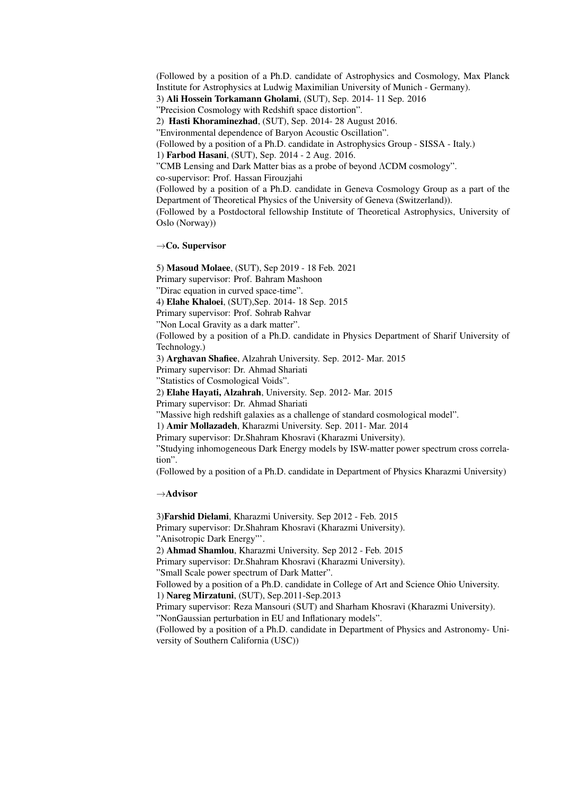(Followed by a position of a Ph.D. candidate of Astrophysics and Cosmology, Max Planck Institute for Astrophysics at Ludwig Maximilian University of Munich - Germany). 3) Ali Hossein Torkamann Gholami, (SUT), Sep. 2014- 11 Sep. 2016 "Precision Cosmology with Redshift space distortion". 2) Hasti Khoraminezhad, (SUT), Sep. 2014- 28 August 2016. "Environmental dependence of Baryon Acoustic Oscillation". (Followed by a position of a Ph.D. candidate in Astrophysics Group - SISSA - Italy.) 1) Farbod Hasani, (SUT), Sep. 2014 - 2 Aug. 2016. "CMB Lensing and Dark Matter bias as a probe of beyond ΛCDM cosmology". co-supervisor: Prof. Hassan Firouzjahi (Followed by a position of a Ph.D. candidate in Geneva Cosmology Group as a part of the Department of Theoretical Physics of the University of Geneva (Switzerland)). (Followed by a Postdoctoral fellowship Institute of Theoretical Astrophysics, University of Oslo (Norway))

#### *→*Co. Supervisor

5) Masoud Molaee, (SUT), Sep 2019 - 18 Feb. 2021 Primary supervisor: Prof. Bahram Mashoon "Dirac equation in curved space-time". 4) Elahe Khaloei, (SUT),Sep. 2014- 18 Sep. 2015 Primary supervisor: Prof. Sohrab Rahvar "Non Local Gravity as a dark matter". (Followed by a position of a Ph.D. candidate in Physics Department of Sharif University of Technology.) 3) Arghavan Shafiee, Alzahrah University. Sep. 2012- Mar. 2015 Primary supervisor: Dr. Ahmad Shariati "Statistics of Cosmological Voids". 2) Elahe Hayati, Alzahrah, University. Sep. 2012- Mar. 2015 Primary supervisor: Dr. Ahmad Shariati "Massive high redshift galaxies as a challenge of standard cosmological model". 1) Amir Mollazadeh, Kharazmi University. Sep. 2011- Mar. 2014 Primary supervisor: Dr.Shahram Khosravi (Kharazmi University). "Studying inhomogeneous Dark Energy models by ISW-matter power spectrum cross correlation". (Followed by a position of a Ph.D. candidate in Department of Physics Kharazmi University)

*→*Advisor

3)Farshid Dielami, Kharazmi University. Sep 2012 - Feb. 2015 Primary supervisor: Dr.Shahram Khosravi (Kharazmi University). "Anisotropic Dark Energy"'. 2) Ahmad Shamlou, Kharazmi University. Sep 2012 - Feb. 2015 Primary supervisor: Dr.Shahram Khosravi (Kharazmi University). "Small Scale power spectrum of Dark Matter". Followed by a position of a Ph.D. candidate in College of Art and Science Ohio University. 1) Nareg Mirzatuni, (SUT), Sep.2011-Sep.2013 Primary supervisor: Reza Mansouri (SUT) and Sharham Khosravi (Kharazmi University). "NonGaussian perturbation in EU and Inflationary models". (Followed by a position of a Ph.D. candidate in Department of Physics and Astronomy- University of Southern California (USC))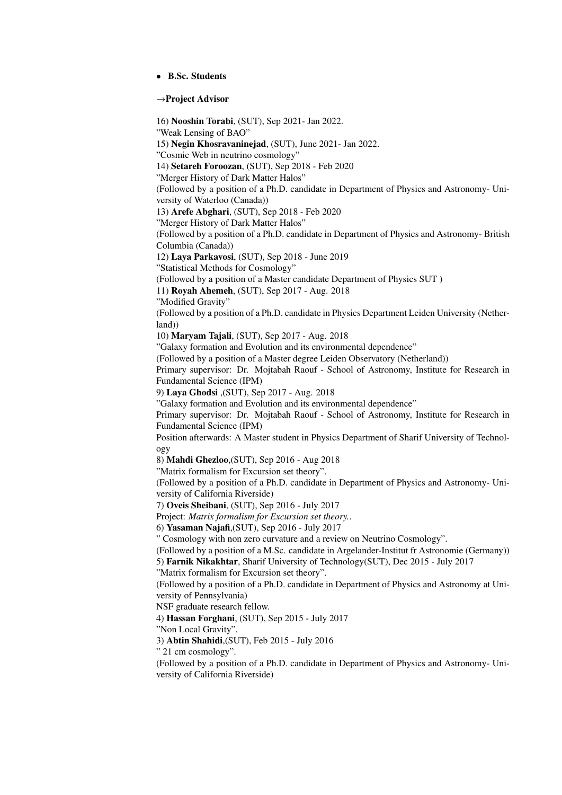#### *•* B.Sc. Students

#### *→*Project Advisor

16) Nooshin Torabi, (SUT), Sep 2021- Jan 2022. "Weak Lensing of BAO" 15) Negin Khosravaninejad, (SUT), June 2021- Jan 2022. "Cosmic Web in neutrino cosmology" 14) Setareh Foroozan, (SUT), Sep 2018 - Feb 2020 "Merger History of Dark Matter Halos" (Followed by a position of a Ph.D. candidate in Department of Physics and Astronomy- University of Waterloo (Canada)) 13) Arefe Abghari, (SUT), Sep 2018 - Feb 2020 "Merger History of Dark Matter Halos" (Followed by a position of a Ph.D. candidate in Department of Physics and Astronomy- British Columbia (Canada)) 12) Laya Parkavosi, (SUT), Sep 2018 - June 2019 "Statistical Methods for Cosmology" (Followed by a position of a Master candidate Department of Physics SUT ) 11) Royah Ahemeh, (SUT), Sep 2017 - Aug. 2018 "Modified Gravity" (Followed by a position of a Ph.D. candidate in Physics Department Leiden University (Netherland)) 10) Maryam Tajali, (SUT), Sep 2017 - Aug. 2018 "Galaxy formation and Evolution and its environmental dependence" (Followed by a position of a Master degree Leiden Observatory (Netherland)) Primary supervisor: Dr. Mojtabah Raouf - School of Astronomy, Institute for Research in Fundamental Science (IPM) 9) Laya Ghodsi ,(SUT), Sep 2017 - Aug. 2018 "Galaxy formation and Evolution and its environmental dependence" Primary supervisor: Dr. Mojtabah Raouf - School of Astronomy, Institute for Research in Fundamental Science (IPM) Position afterwards: A Master student in Physics Department of Sharif University of Technology 8) Mahdi Ghezloo,(SUT), Sep 2016 - Aug 2018 "Matrix formalism for Excursion set theory". (Followed by a position of a Ph.D. candidate in Department of Physics and Astronomy- University of California Riverside) 7) Oveis Sheibani, (SUT), Sep 2016 - July 2017 Project: *Matrix formalism for Excursion set theory.*. 6) Yasaman Najafi,(SUT), Sep 2016 - July 2017 " Cosmology with non zero curvature and a review on Neutrino Cosmology". (Followed by a position of a M.Sc. candidate in Argelander-Institut fr Astronomie (Germany)) 5) Farnik Nikakhtar, Sharif University of Technology(SUT), Dec 2015 - July 2017 "Matrix formalism for Excursion set theory". (Followed by a position of a Ph.D. candidate in Department of Physics and Astronomy at University of Pennsylvania) NSF graduate research fellow. 4) Hassan Forghani, (SUT), Sep 2015 - July 2017 "Non Local Gravity". 3) Abtin Shahidi,(SUT), Feb 2015 - July 2016 " 21 cm cosmology". (Followed by a position of a Ph.D. candidate in Department of Physics and Astronomy- University of California Riverside)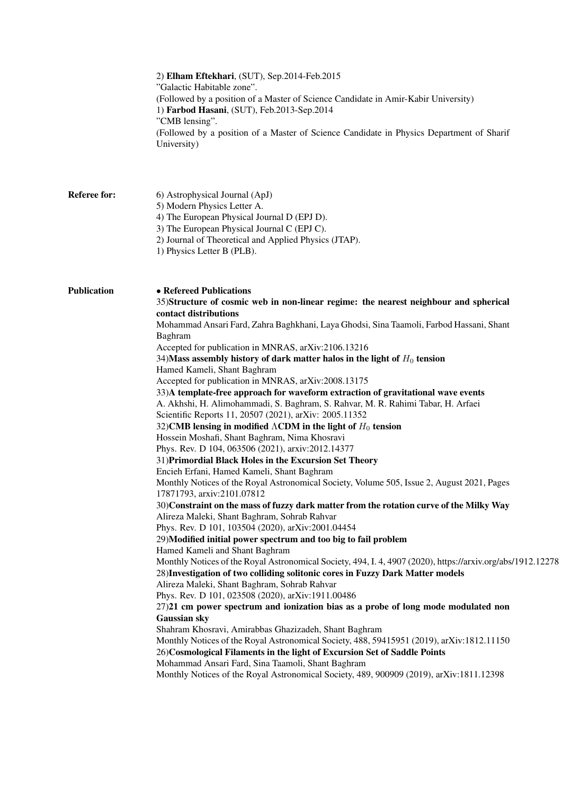|                     | 2) Elham Eftekhari, (SUT), Sep.2014-Feb.2015<br>"Galactic Habitable zone".<br>(Followed by a position of a Master of Science Candidate in Amir-Kabir University)<br>1) Farbod Hasani, (SUT), Feb.2013-Sep.2014<br>"CMB lensing".<br>(Followed by a position of a Master of Science Candidate in Physics Department of Sharif<br>University)                                                                                                                                                                                                                                                                                                                                                                                                                                                                                                                                                                                                                                                                                                                                                                                                                                                                                                                                                                                                                                                                                                                                                                                                                                                                                                                                                                                                                                                                                                                                                                                                                                                                                                                                                                                                                                                                                          |
|---------------------|--------------------------------------------------------------------------------------------------------------------------------------------------------------------------------------------------------------------------------------------------------------------------------------------------------------------------------------------------------------------------------------------------------------------------------------------------------------------------------------------------------------------------------------------------------------------------------------------------------------------------------------------------------------------------------------------------------------------------------------------------------------------------------------------------------------------------------------------------------------------------------------------------------------------------------------------------------------------------------------------------------------------------------------------------------------------------------------------------------------------------------------------------------------------------------------------------------------------------------------------------------------------------------------------------------------------------------------------------------------------------------------------------------------------------------------------------------------------------------------------------------------------------------------------------------------------------------------------------------------------------------------------------------------------------------------------------------------------------------------------------------------------------------------------------------------------------------------------------------------------------------------------------------------------------------------------------------------------------------------------------------------------------------------------------------------------------------------------------------------------------------------------------------------------------------------------------------------------------------------|
| <b>Referee for:</b> | 6) Astrophysical Journal (ApJ)<br>5) Modern Physics Letter A.<br>4) The European Physical Journal D (EPJ D).<br>3) The European Physical Journal C (EPJ C).<br>2) Journal of Theoretical and Applied Physics (JTAP).<br>1) Physics Letter B (PLB).                                                                                                                                                                                                                                                                                                                                                                                                                                                                                                                                                                                                                                                                                                                                                                                                                                                                                                                                                                                                                                                                                                                                                                                                                                                                                                                                                                                                                                                                                                                                                                                                                                                                                                                                                                                                                                                                                                                                                                                   |
| <b>Publication</b>  | • Refereed Publications<br>35)Structure of cosmic web in non-linear regime: the nearest neighbour and spherical<br>contact distributions<br>Mohammad Ansari Fard, Zahra Baghkhani, Laya Ghodsi, Sina Taamoli, Farbod Hassani, Shant<br>Baghram<br>Accepted for publication in MNRAS, arXiv:2106.13216<br>34) Mass assembly history of dark matter halos in the light of $H_0$ tension<br>Hamed Kameli, Shant Baghram<br>Accepted for publication in MNRAS, arXiv:2008.13175<br>33)A template-free approach for waveform extraction of gravitational wave events<br>A. Akhshi, H. Alimohammadi, S. Baghram, S. Rahvar, M. R. Rahimi Tabar, H. Arfaei<br>Scientific Reports 11, 20507 (2021), arXiv: 2005.11352<br>32) CMB lensing in modified $\Lambda$ CDM in the light of $H_0$ tension<br>Hossein Moshafi, Shant Baghram, Nima Khosravi<br>Phys. Rev. D 104, 063506 (2021), arxiv:2012.14377<br>31) Primordial Black Holes in the Excursion Set Theory<br>Encieh Erfani, Hamed Kameli, Shant Baghram<br>Monthly Notices of the Royal Astronomical Society, Volume 505, Issue 2, August 2021, Pages<br>17871793, arxiv:2101.07812<br>30) Constraint on the mass of fuzzy dark matter from the rotation curve of the Milky Way<br>Alireza Maleki, Shant Baghram, Sohrab Rahvar<br>Phys. Rev. D 101, 103504 (2020), arXiv:2001.04454<br>29)Modified initial power spectrum and too big to fail problem<br>Hamed Kameli and Shant Baghram<br>Monthly Notices of the Royal Astronomical Society, 494, I. 4, 4907 (2020), https://arxiv.org/abs/1912.12278<br>28) Investigation of two colliding solitonic cores in Fuzzy Dark Matter models<br>Alireza Maleki, Shant Baghram, Sohrab Rahvar<br>Phys. Rev. D 101, 023508 (2020), arXiv:1911.00486<br>27)21 cm power spectrum and ionization bias as a probe of long mode modulated non<br>Gaussian sky<br>Shahram Khosravi, Amirabbas Ghazizadeh, Shant Baghram<br>Monthly Notices of the Royal Astronomical Society, 488, 59415951 (2019), arXiv:1812.11150<br>26)Cosmological Filaments in the light of Excursion Set of Saddle Points<br>Mohammad Ansari Fard, Sina Taamoli, Shant Baghram<br>Monthly Notices of the Royal Astronomical Society, 489, 900909 (2019), arXiv:1811.12398 |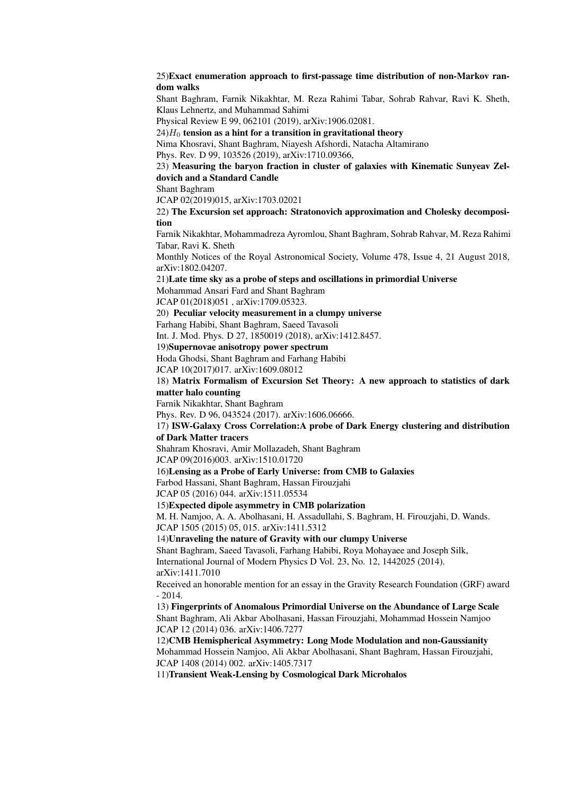#### 25)Exact enumeration approach to first-passage time distribution of non-Markov random walks

Shant Baghram, Farnik Nikakhtar, M. Reza Rahimi Tabar, Sohrab Rahvar, Ravi K. Sheth, Klaus Lehnertz, and Muhammad Sahimi

Physical Review E 99, 062101 (2019), arXiv:1906.02081.

 $24$  $H<sub>0</sub>$  tension as a hint for a transition in gravitational theory

Nima Khosravi, Shant Baghram, Niayesh Afshordi, Natacha Altamirano

Phys. Rev. D 99, 103526 (2019), arXiv:1710.09366,

#### 23) Measuring the baryon fraction in cluster of galaxies with Kinematic Sunyeav Zeldovich and a Standard Candle

Shant Baghram

JCAP 02(2019)015, arXiv:1703.02021

#### 22) The Excursion set approach: Stratonovich approximation and Cholesky decomposition

Farnik Nikakhtar, Mohammadreza Ayromlou, Shant Baghram, Sohrab Rahvar, M. Reza Rahimi Tabar, Ravi K. Sheth

Monthly Notices of the Royal Astronomical Society, Volume 478, Issue 4, 21 August 2018, arXiv:1802.04207.

21)Late time sky as a probe of steps and oscillations in primordial Universe

Mohammad Ansari Fard and Shant Baghram

JCAP 01(2018)051 , arXiv:1709.05323.

20) Peculiar velocity measurement in a clumpy universe

Farhang Habibi, Shant Baghram, Saeed Tavasoli

Int. J. Mod. Phys. D 27, 1850019 (2018), arXiv:1412.8457.

# 19)Supernovae anisotropy power spectrum

Hoda Ghodsi, Shant Baghram and Farhang Habibi

JCAP 10(2017)017. arXiv:1609.08012

#### 18) Matrix Formalism of Excursion Set Theory: A new approach to statistics of dark matter halo counting

Farnik Nikakhtar, Shant Baghram

Phys. Rev. D 96, 043524 (2017). arXiv:1606.06666.

#### 17) ISW-Galaxy Cross Correlation:A probe of Dark Energy clustering and distribution of Dark Matter tracers

Shahram Khosravi, Amir Mollazadeh, Shant Baghram

JCAP 09(2016)003. arXiv:1510.01720

#### 16)Lensing as a Probe of Early Universe: from CMB to Galaxies

Farbod Hassani, Shant Baghram, Hassan Firouzjahi

JCAP 05 (2016) 044. arXiv:1511.05534

15)Expected dipole asymmetry in CMB polarization

M. H. Namjoo, A. A. Abolhasani, H. Assadullahi, S. Baghram, H. Firouzjahi, D. Wands. JCAP 1505 (2015) 05, 015. arXiv:1411.5312

#### 14)Unraveling the nature of Gravity with our clumpy Universe

Shant Baghram, Saeed Tavasoli, Farhang Habibi, Roya Mohayaee and Joseph Silk, International Journal of Modern Physics D Vol. 23, No. 12, 1442025 (2014). arXiv:1411.7010

Received an honorable mention for an essay in the Gravity Research Foundation (GRF) award - 2014.

13) Fingerprints of Anomalous Primordial Universe on the Abundance of Large Scale Shant Baghram, Ali Akbar Abolhasani, Hassan Firouzjahi, Mohammad Hossein Namjoo JCAP 12 (2014) 036. arXiv:1406.7277

12)CMB Hemispherical Asymmetry: Long Mode Modulation and non-Gaussianity Mohammad Hossein Namjoo, Ali Akbar Abolhasani, Shant Baghram, Hassan Firouzjahi, JCAP 1408 (2014) 002. arXiv:1405.7317

11)Transient Weak-Lensing by Cosmological Dark Microhalos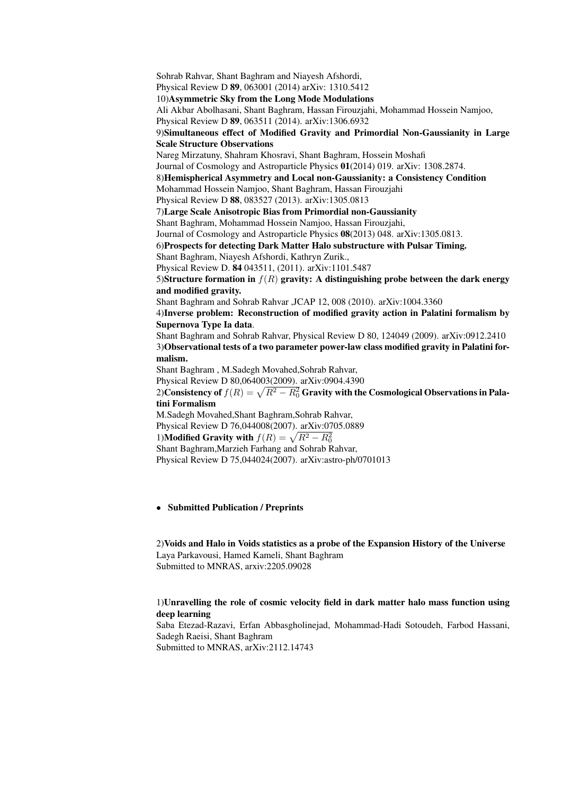Sohrab Rahvar, Shant Baghram and Niayesh Afshordi, Physical Review D 89, 063001 (2014) arXiv: 1310.5412 10)Asymmetric Sky from the Long Mode Modulations Ali Akbar Abolhasani, Shant Baghram, Hassan Firouzjahi, Mohammad Hossein Namjoo, Physical Review D 89, 063511 (2014). arXiv:1306.6932 9)Simultaneous effect of Modified Gravity and Primordial Non-Gaussianity in Large Scale Structure Observations Nareg Mirzatuny, Shahram Khosravi, Shant Baghram, Hossein Moshafi Journal of Cosmology and Astroparticle Physics 01(2014) 019. arXiv: 1308.2874. 8)Hemispherical Asymmetry and Local non-Gaussianity: a Consistency Condition Mohammad Hossein Namjoo, Shant Baghram, Hassan Firouzjahi Physical Review D 88, 083527 (2013). arXiv:1305.0813 7)Large Scale Anisotropic Bias from Primordial non-Gaussianity Shant Baghram, Mohammad Hossein Namjoo, Hassan Firouzjahi, Journal of Cosmology and Astroparticle Physics 08(2013) 048. arXiv:1305.0813. 6)Prospects for detecting Dark Matter Halo substructure with Pulsar Timing. Shant Baghram, Niayesh Afshordi, Kathryn Zurik., Physical Review D. 84 043511, (2011). arXiv:1101.5487 5)Structure formation in *f*(*R*) gravity: A distinguishing probe between the dark energy and modified gravity. Shant Baghram and Sohrab Rahvar ,JCAP 12, 008 (2010). arXiv:1004.3360 4)Inverse problem: Reconstruction of modified gravity action in Palatini formalism by Supernova Type Ia data. Shant Baghram and Sohrab Rahvar, Physical Review D 80, 124049 (2009). arXiv:0912.2410 3)Observational tests of a two parameter power-law class modified gravity in Palatini formalism. Shant Baghram , M.Sadegh Movahed,Sohrab Rahvar, Physical Review D 80,064003(2009). arXiv:0904.4390 2)Consistency of  $f(R) = \sqrt{R^2 - R_0^2}$  Gravity with the Cosmological Observations in Palatini Formalism M.Sadegh Movahed,Shant Baghram,Sohrab Rahvar, Physical Review D 76,044008(2007). arXiv:0705.0889 1)**Modified Gravity with**  $f(R) = \sqrt{R^2 - R_0^2}$ Shant Baghram,Marzieh Farhang and Sohrab Rahvar, Physical Review D 75,044024(2007). arXiv:astro-ph/0701013

#### *•* Submitted Publication / Preprints

2)Voids and Halo in Voids statistics as a probe of the Expansion History of the Universe Laya Parkavousi, Hamed Kameli, Shant Baghram Submitted to MNRAS, arxiv:2205.09028

#### 1)Unravelling the role of cosmic velocity field in dark matter halo mass function using deep learning

Saba Etezad-Razavi, Erfan Abbasgholinejad, Mohammad-Hadi Sotoudeh, Farbod Hassani, Sadegh Raeisi, Shant Baghram

Submitted to MNRAS, arXiv:2112.14743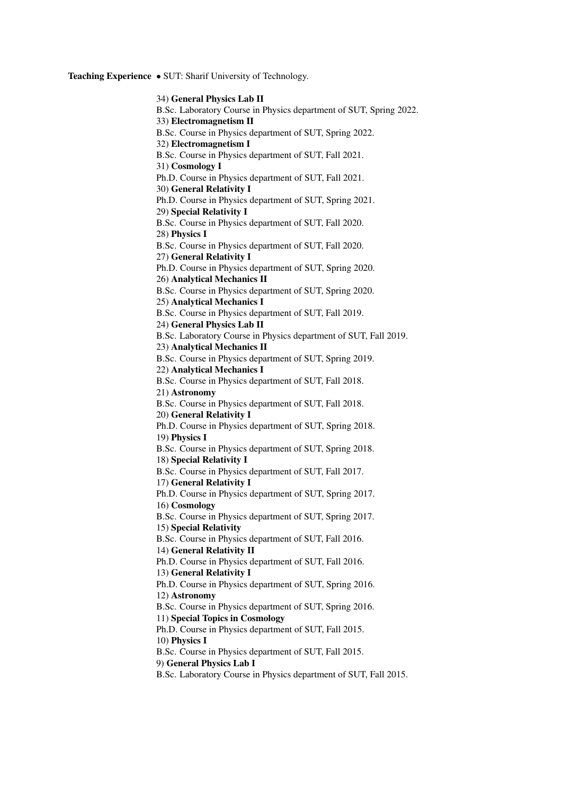Teaching Experience *•* SUT: Sharif University of Technology.

34) General Physics Lab II B.Sc. Laboratory Course in Physics department of SUT, Spring 2022. 33) Electromagnetism II B.Sc. Course in Physics department of SUT, Spring 2022. 32) Electromagnetism I B.Sc. Course in Physics department of SUT, Fall 2021. 31) Cosmology I Ph.D. Course in Physics department of SUT, Fall 2021. 30) General Relativity I Ph.D. Course in Physics department of SUT, Spring 2021. 29) Special Relativity I B.Sc. Course in Physics department of SUT, Fall 2020. 28) Physics I B.Sc. Course in Physics department of SUT, Fall 2020. 27) General Relativity I Ph.D. Course in Physics department of SUT, Spring 2020. 26) Analytical Mechanics II B.Sc. Course in Physics department of SUT, Spring 2020. 25) Analytical Mechanics I B.Sc. Course in Physics department of SUT, Fall 2019. 24) General Physics Lab II B.Sc. Laboratory Course in Physics department of SUT, Fall 2019. 23) Analytical Mechanics II B.Sc. Course in Physics department of SUT, Spring 2019. 22) Analytical Mechanics I B.Sc. Course in Physics department of SUT, Fall 2018. 21) Astronomy B.Sc. Course in Physics department of SUT, Fall 2018. 20) General Relativity I Ph.D. Course in Physics department of SUT, Spring 2018. 19) Physics I B.Sc. Course in Physics department of SUT, Spring 2018. 18) Special Relativity I B.Sc. Course in Physics department of SUT, Fall 2017. 17) General Relativity I Ph.D. Course in Physics department of SUT, Spring 2017. 16) Cosmology B.Sc. Course in Physics department of SUT, Spring 2017. 15) Special Relativity B.Sc. Course in Physics department of SUT, Fall 2016. 14) General Relativity II Ph.D. Course in Physics department of SUT, Fall 2016. 13) General Relativity I Ph.D. Course in Physics department of SUT, Spring 2016. 12) Astronomy B.Sc. Course in Physics department of SUT, Spring 2016. 11) Special Topics in Cosmology Ph.D. Course in Physics department of SUT, Fall 2015. 10) Physics I B.Sc. Course in Physics department of SUT, Fall 2015. 9) General Physics Lab I B.Sc. Laboratory Course in Physics department of SUT, Fall 2015.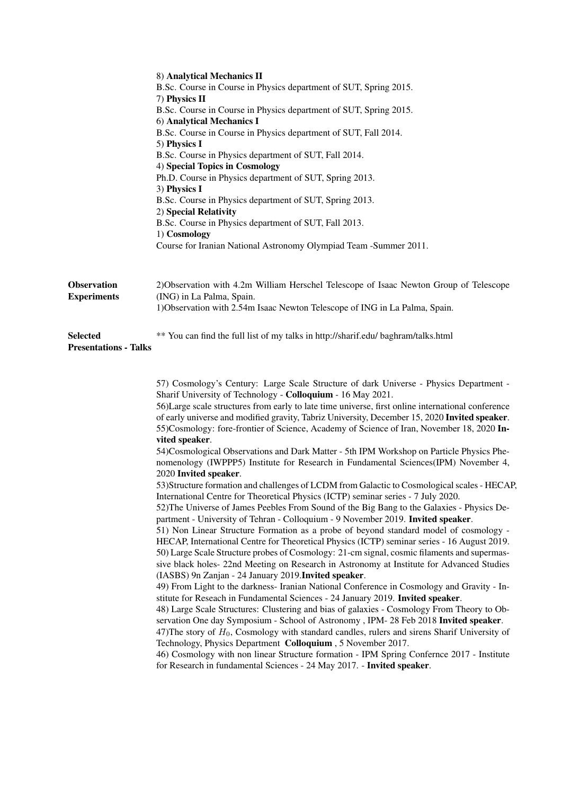|                                                 | 8) Analytical Mechanics II<br>B.Sc. Course in Course in Physics department of SUT, Spring 2015.<br>7) Physics II<br>B.Sc. Course in Course in Physics department of SUT, Spring 2015.<br>6) Analytical Mechanics I<br>B.Sc. Course in Course in Physics department of SUT, Fall 2014.<br>5) Physics I<br>B.Sc. Course in Physics department of SUT, Fall 2014.<br>4) Special Topics in Cosmology<br>Ph.D. Course in Physics department of SUT, Spring 2013.<br>3) Physics I<br>B.Sc. Course in Physics department of SUT, Spring 2013.<br>2) Special Relativity<br>B.Sc. Course in Physics department of SUT, Fall 2013.<br>1) Cosmology<br>Course for Iranian National Astronomy Olympiad Team -Summer 2011.                                                                                                                                                                                                                                                                                                                                                                                                                                                                                                                                                                                                                                                                                                                                                                                                                                                                                                                                                                                                                                                                                                                                                                                                                                                                                                                                                                                                                                                                                                               |
|-------------------------------------------------|-----------------------------------------------------------------------------------------------------------------------------------------------------------------------------------------------------------------------------------------------------------------------------------------------------------------------------------------------------------------------------------------------------------------------------------------------------------------------------------------------------------------------------------------------------------------------------------------------------------------------------------------------------------------------------------------------------------------------------------------------------------------------------------------------------------------------------------------------------------------------------------------------------------------------------------------------------------------------------------------------------------------------------------------------------------------------------------------------------------------------------------------------------------------------------------------------------------------------------------------------------------------------------------------------------------------------------------------------------------------------------------------------------------------------------------------------------------------------------------------------------------------------------------------------------------------------------------------------------------------------------------------------------------------------------------------------------------------------------------------------------------------------------------------------------------------------------------------------------------------------------------------------------------------------------------------------------------------------------------------------------------------------------------------------------------------------------------------------------------------------------------------------------------------------------------------------------------------------------|
| <b>Observation</b><br><b>Experiments</b>        | 2) Observation with 4.2m William Herschel Telescope of Isaac Newton Group of Telescope<br>(ING) in La Palma, Spain.<br>1) Observation with 2.54m Isaac Newton Telescope of ING in La Palma, Spain.                                                                                                                                                                                                                                                                                                                                                                                                                                                                                                                                                                                                                                                                                                                                                                                                                                                                                                                                                                                                                                                                                                                                                                                                                                                                                                                                                                                                                                                                                                                                                                                                                                                                                                                                                                                                                                                                                                                                                                                                                          |
| <b>Selected</b><br><b>Presentations - Talks</b> | ** You can find the full list of my talks in http://sharif.edu/ baghram/talks.html                                                                                                                                                                                                                                                                                                                                                                                                                                                                                                                                                                                                                                                                                                                                                                                                                                                                                                                                                                                                                                                                                                                                                                                                                                                                                                                                                                                                                                                                                                                                                                                                                                                                                                                                                                                                                                                                                                                                                                                                                                                                                                                                          |
|                                                 | 57) Cosmology's Century: Large Scale Structure of dark Universe - Physics Department -<br>Sharif University of Technology - Colloquium - 16 May 2021.<br>56)Large scale structures from early to late time universe, first online international conference<br>of early universe and modified gravity, Tabriz University, December 15, 2020 Invited speaker.<br>55)Cosmology: fore-frontier of Science, Academy of Science of Iran, November 18, 2020 In-<br>vited speaker.<br>54)Cosmological Observations and Dark Matter - 5th IPM Workshop on Particle Physics Phe-<br>nomenology (IWPPP5) Institute for Research in Fundamental Sciences(IPM) November 4,<br>2020 Invited speaker.<br>53) Structure formation and challenges of LCDM from Galactic to Cosmological scales - HECAP.<br>International Centre for Theoretical Physics (ICTP) seminar series - 7 July 2020.<br>52) The Universe of James Peebles From Sound of the Big Bang to the Galaxies - Physics De-<br>partment - University of Tehran - Colloquium - 9 November 2019. Invited speaker.<br>51) Non Linear Structure Formation as a probe of beyond standard model of cosmology -<br>HECAP, International Centre for Theoretical Physics (ICTP) seminar series - 16 August 2019.<br>50) Large Scale Structure probes of Cosmology: 21-cm signal, cosmic filaments and supermas-<br>sive black holes-22nd Meeting on Research in Astronomy at Institute for Advanced Studies<br>(IASBS) 9n Zanjan - 24 January 2019. Invited speaker.<br>49) From Light to the darkness- Iranian National Conference in Cosmology and Gravity - In-<br>stitute for Reseach in Fundamental Sciences - 24 January 2019. Invited speaker.<br>48) Large Scale Structures: Clustering and bias of galaxies - Cosmology From Theory to Ob-<br>servation One day Symposium - School of Astronomy , IPM- 28 Feb 2018 Invited speaker.<br>47) The story of $H_0$ , Cosmology with standard candles, rulers and sirens Sharif University of<br>Technology, Physics Department Colloquium, 5 November 2017.<br>46) Cosmology with non linear Structure formation - IPM Spring Confernce 2017 - Institute<br>for Research in fundamental Sciences - 24 May 2017. - Invited speaker. |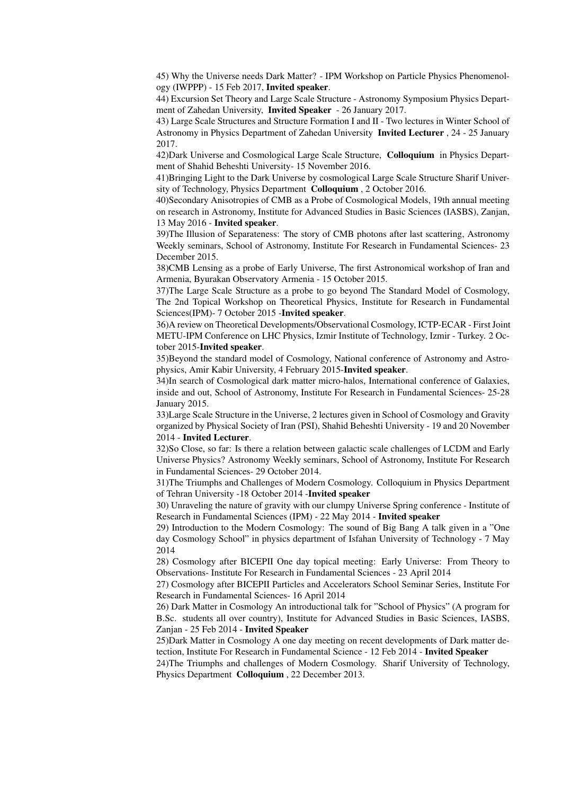45) Why the Universe needs Dark Matter? - IPM Workshop on Particle Physics Phenomenology (IWPPP) - 15 Feb 2017, Invited speaker.

44) Excursion Set Theory and Large Scale Structure - Astronomy Symposium Physics Department of Zahedan University, Invited Speaker - 26 January 2017.

43) Large Scale Structures and Structure Formation I and II - Two lectures in Winter School of Astronomy in Physics Department of Zahedan University Invited Lecturer , 24 - 25 January 2017.

42)Dark Universe and Cosmological Large Scale Structure, Colloquium in Physics Department of Shahid Beheshti University- 15 November 2016.

41)Bringing Light to the Dark Universe by cosmological Large Scale Structure Sharif University of Technology, Physics Department Colloquium , 2 October 2016.

40)Secondary Anisotropies of CMB as a Probe of Cosmological Models, 19th annual meeting on research in Astronomy, Institute for Advanced Studies in Basic Sciences (IASBS), Zanjan, 13 May 2016 - Invited speaker.

39)The Illusion of Separateness: The story of CMB photons after last scattering, Astronomy Weekly seminars, School of Astronomy, Institute For Research in Fundamental Sciences- 23 December 2015.

38)CMB Lensing as a probe of Early Universe, The first Astronomical workshop of Iran and Armenia, Byurakan Observatory Armenia - 15 October 2015.

37)The Large Scale Structure as a probe to go beyond The Standard Model of Cosmology, The 2nd Topical Workshop on Theoretical Physics, Institute for Research in Fundamental Sciences(IPM)- 7 October 2015 -Invited speaker.

36)A review on Theoretical Developments/Observational Cosmology, ICTP-ECAR - First Joint METU-IPM Conference on LHC Physics, Izmir Institute of Technology, Izmir - Turkey. 2 October 2015-Invited speaker.

35)Beyond the standard model of Cosmology, National conference of Astronomy and Astrophysics, Amir Kabir University, 4 February 2015-Invited speaker.

34)In search of Cosmological dark matter micro-halos, International conference of Galaxies, inside and out, School of Astronomy, Institute For Research in Fundamental Sciences- 25-28 January 2015.

33)Large Scale Structure in the Universe, 2 lectures given in School of Cosmology and Gravity organized by Physical Society of Iran (PSI), Shahid Beheshti University - 19 and 20 November 2014 - Invited Lecturer.

32)So Close, so far: Is there a relation between galactic scale challenges of LCDM and Early Universe Physics? Astronomy Weekly seminars, School of Astronomy, Institute For Research in Fundamental Sciences- 29 October 2014.

31)The Triumphs and Challenges of Modern Cosmology. Colloquium in Physics Department of Tehran University -18 October 2014 -Invited speaker

30) Unraveling the nature of gravity with our clumpy Universe Spring conference - Institute of Research in Fundamental Sciences (IPM) - 22 May 2014 - Invited speaker

29) Introduction to the Modern Cosmology: The sound of Big Bang A talk given in a "One day Cosmology School" in physics department of Isfahan University of Technology - 7 May 2014

28) Cosmology after BICEPII One day topical meeting: Early Universe: From Theory to Observations- Institute For Research in Fundamental Sciences - 23 April 2014

27) Cosmology after BICEPII Particles and Accelerators School Seminar Series, Institute For Research in Fundamental Sciences- 16 April 2014

26) Dark Matter in Cosmology An introductional talk for "School of Physics" (A program for B.Sc. students all over country), Institute for Advanced Studies in Basic Sciences, IASBS, Zanjan - 25 Feb 2014 - Invited Speaker

25)Dark Matter in Cosmology A one day meeting on recent developments of Dark matter detection, Institute For Research in Fundamental Science - 12 Feb 2014 - Invited Speaker

24)The Triumphs and challenges of Modern Cosmology. Sharif University of Technology, Physics Department Colloquium , 22 December 2013.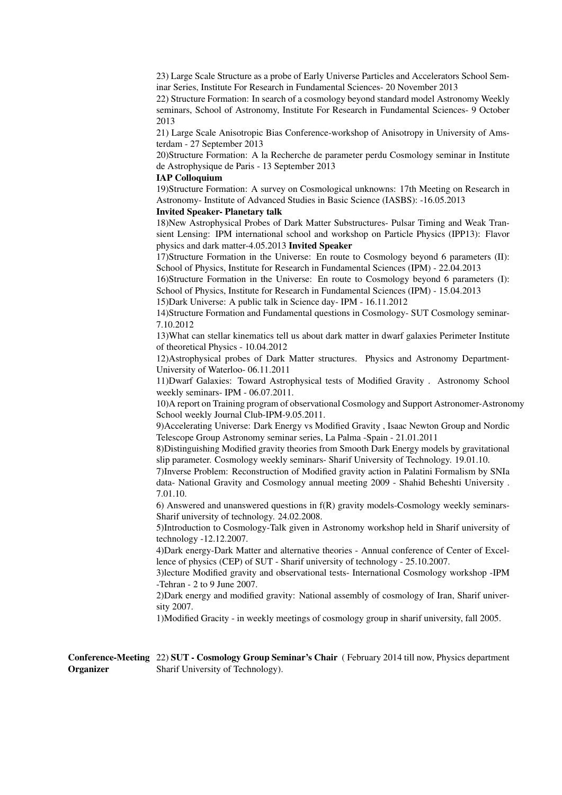23) Large Scale Structure as a probe of Early Universe Particles and Accelerators School Seminar Series, Institute For Research in Fundamental Sciences- 20 November 2013

22) Structure Formation: In search of a cosmology beyond standard model Astronomy Weekly seminars, School of Astronomy, Institute For Research in Fundamental Sciences- 9 October 2013

21) Large Scale Anisotropic Bias Conference-workshop of Anisotropy in University of Amsterdam - 27 September 2013

20)Structure Formation: A la Recherche de parameter perdu Cosmology seminar in Institute de Astrophysique de Paris - 13 September 2013

#### IAP Colloquium

19)Structure Formation: A survey on Cosmological unknowns: 17th Meeting on Research in Astronomy- Institute of Advanced Studies in Basic Science (IASBS): -16.05.2013

#### Invited Speaker- Planetary talk

18)New Astrophysical Probes of Dark Matter Substructures- Pulsar Timing and Weak Transient Lensing: IPM international school and workshop on Particle Physics (IPP13): Flavor physics and dark matter-4.05.2013 Invited Speaker

17)Structure Formation in the Universe: En route to Cosmology beyond 6 parameters (II): School of Physics, Institute for Research in Fundamental Sciences (IPM) - 22.04.2013

16)Structure Formation in the Universe: En route to Cosmology beyond 6 parameters (I): School of Physics, Institute for Research in Fundamental Sciences (IPM) - 15.04.2013

15)Dark Universe: A public talk in Science day- IPM - 16.11.2012

14)Structure Formation and Fundamental questions in Cosmology- SUT Cosmology seminar-7.10.2012

13)What can stellar kinematics tell us about dark matter in dwarf galaxies Perimeter Institute of theoretical Physics - 10.04.2012

12)Astrophysical probes of Dark Matter structures. Physics and Astronomy Department-University of Waterloo- 06.11.2011

11)Dwarf Galaxies: Toward Astrophysical tests of Modified Gravity . Astronomy School weekly seminars- IPM - 06.07.2011.

10)A report on Training program of observational Cosmology and Support Astronomer-Astronomy School weekly Journal Club-IPM-9.05.2011.

9)Accelerating Universe: Dark Energy vs Modified Gravity , Isaac Newton Group and Nordic Telescope Group Astronomy seminar series, La Palma -Spain - 21.01.2011

8)Distinguishing Modified gravity theories from Smooth Dark Energy models by gravitational slip parameter. Cosmology weekly seminars- Sharif University of Technology. 19.01.10.

7)Inverse Problem: Reconstruction of Modified gravity action in Palatini Formalism by SNIa data- National Gravity and Cosmology annual meeting 2009 - Shahid Beheshti University . 7.01.10.

6) Answered and unanswered questions in f(R) gravity models-Cosmology weekly seminars-Sharif university of technology. 24.02.2008.

5)Introduction to Cosmology-Talk given in Astronomy workshop held in Sharif university of technology -12.12.2007.

4)Dark energy-Dark Matter and alternative theories - Annual conference of Center of Excellence of physics (CEP) of SUT - Sharif university of technology - 25.10.2007.

3)lecture Modified gravity and observational tests- International Cosmology workshop -IPM -Tehran - 2 to 9 June 2007.

2)Dark energy and modified gravity: National assembly of cosmology of Iran, Sharif university 2007.

1)Modified Gracity - in weekly meetings of cosmology group in sharif university, fall 2005.

Conference-Meeting 22) SUT - Cosmology Group Seminar's Chair (February 2014 till now, Physics department Organizer Sharif University of Technology).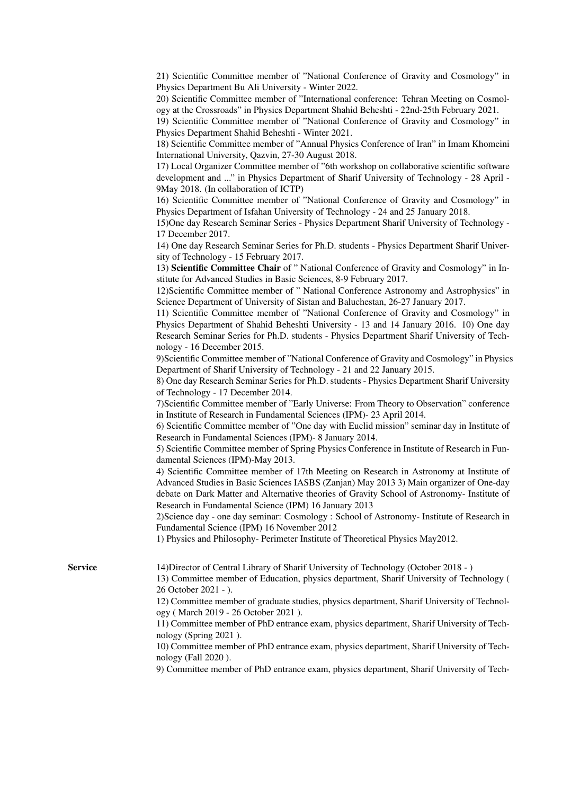21) Scientific Committee member of "National Conference of Gravity and Cosmology" in Physics Department Bu Ali University - Winter 2022.

20) Scientific Committee member of "International conference: Tehran Meeting on Cosmology at the Crossroads" in Physics Department Shahid Beheshti - 22nd-25th February 2021.

19) Scientific Committee member of "National Conference of Gravity and Cosmology" in Physics Department Shahid Beheshti - Winter 2021.

18) Scientific Committee member of "Annual Physics Conference of Iran" in Imam Khomeini International University, Qazvin, 27-30 August 2018.

17) Local Organizer Committee member of "6th workshop on collaborative scientific software development and ..." in Physics Department of Sharif University of Technology - 28 April - 9May 2018. (In collaboration of ICTP)

16) Scientific Committee member of "National Conference of Gravity and Cosmology" in Physics Department of Isfahan University of Technology - 24 and 25 January 2018.

15)One day Research Seminar Series - Physics Department Sharif University of Technology - 17 December 2017.

14) One day Research Seminar Series for Ph.D. students - Physics Department Sharif University of Technology - 15 February 2017.

13) Scientific Committee Chair of " National Conference of Gravity and Cosmology" in Institute for Advanced Studies in Basic Sciences, 8-9 February 2017.

12)Scientific Committee member of " National Conference Astronomy and Astrophysics" in Science Department of University of Sistan and Baluchestan, 26-27 January 2017.

11) Scientific Committee member of "National Conference of Gravity and Cosmology" in Physics Department of Shahid Beheshti University - 13 and 14 January 2016. 10) One day Research Seminar Series for Ph.D. students - Physics Department Sharif University of Technology - 16 December 2015.

9)Scientific Committee member of "National Conference of Gravity and Cosmology" in Physics Department of Sharif University of Technology - 21 and 22 January 2015.

8) One day Research Seminar Series for Ph.D. students - Physics Department Sharif University of Technology - 17 December 2014.

7)Scientific Committee member of "Early Universe: From Theory to Observation" conference in Institute of Research in Fundamental Sciences (IPM)- 23 April 2014.

6) Scientific Committee member of "One day with Euclid mission" seminar day in Institute of Research in Fundamental Sciences (IPM)- 8 January 2014.

5) Scientific Committee member of Spring Physics Conference in Institute of Research in Fundamental Sciences (IPM)-May 2013.

4) Scientific Committee member of 17th Meeting on Research in Astronomy at Institute of Advanced Studies in Basic Sciences IASBS (Zanjan) May 2013 3) Main organizer of One-day debate on Dark Matter and Alternative theories of Gravity School of Astronomy- Institute of Research in Fundamental Science (IPM) 16 January 2013

2)Science day - one day seminar: Cosmology : School of Astronomy- Institute of Research in Fundamental Science (IPM) 16 November 2012

1) Physics and Philosophy- Perimeter Institute of Theoretical Physics May2012.

Service 14)Director of Central Library of Sharif University of Technology (October 2018 - )

13) Committee member of Education, physics department, Sharif University of Technology ( 26 October 2021 - ).

12) Committee member of graduate studies, physics department, Sharif University of Technology ( March 2019 - 26 October 2021 ).

11) Committee member of PhD entrance exam, physics department, Sharif University of Technology (Spring 2021 ).

10) Committee member of PhD entrance exam, physics department, Sharif University of Technology (Fall 2020 ).

9) Committee member of PhD entrance exam, physics department, Sharif University of Tech-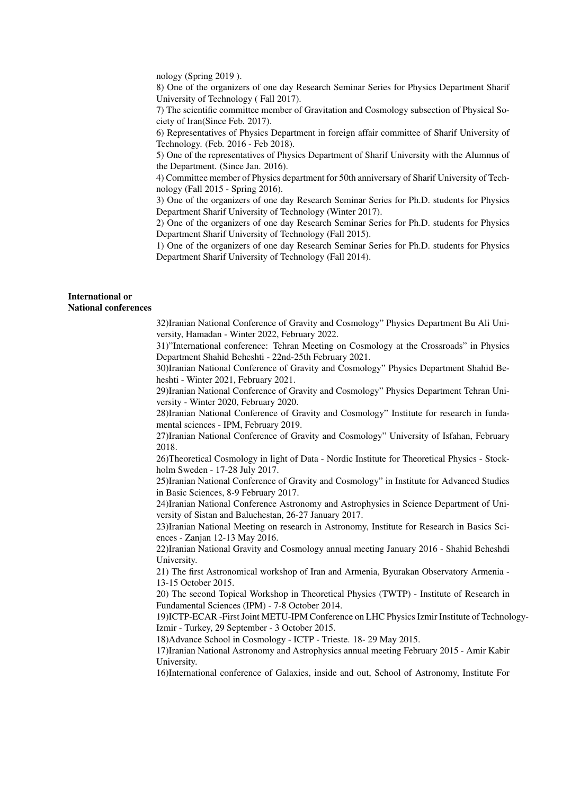nology (Spring 2019 ).

8) One of the organizers of one day Research Seminar Series for Physics Department Sharif University of Technology ( Fall 2017).

7) The scientific committee member of Gravitation and Cosmology subsection of Physical Society of Iran(Since Feb. 2017).

6) Representatives of Physics Department in foreign affair committee of Sharif University of Technology. (Feb. 2016 - Feb 2018).

5) One of the representatives of Physics Department of Sharif University with the Alumnus of the Department. (Since Jan. 2016).

4) Committee member of Physics department for 50th anniversary of Sharif University of Technology (Fall 2015 - Spring 2016).

3) One of the organizers of one day Research Seminar Series for Ph.D. students for Physics Department Sharif University of Technology (Winter 2017).

2) One of the organizers of one day Research Seminar Series for Ph.D. students for Physics Department Sharif University of Technology (Fall 2015).

1) One of the organizers of one day Research Seminar Series for Ph.D. students for Physics Department Sharif University of Technology (Fall 2014).

#### International or National conferences

32)Iranian National Conference of Gravity and Cosmology" Physics Department Bu Ali University, Hamadan - Winter 2022, February 2022.

31)"International conference: Tehran Meeting on Cosmology at the Crossroads" in Physics Department Shahid Beheshti - 22nd-25th February 2021.

30)Iranian National Conference of Gravity and Cosmology" Physics Department Shahid Beheshti - Winter 2021, February 2021.

29)Iranian National Conference of Gravity and Cosmology" Physics Department Tehran University - Winter 2020, February 2020.

28)Iranian National Conference of Gravity and Cosmology" Institute for research in fundamental sciences - IPM, February 2019.

27)Iranian National Conference of Gravity and Cosmology" University of Isfahan, February 2018.

26)Theoretical Cosmology in light of Data - Nordic Institute for Theoretical Physics - Stockholm Sweden - 17-28 July 2017.

25)Iranian National Conference of Gravity and Cosmology" in Institute for Advanced Studies in Basic Sciences, 8-9 February 2017.

24)Iranian National Conference Astronomy and Astrophysics in Science Department of University of Sistan and Baluchestan, 26-27 January 2017.

23)Iranian National Meeting on research in Astronomy, Institute for Research in Basics Sciences - Zanjan 12-13 May 2016.

22)Iranian National Gravity and Cosmology annual meeting January 2016 - Shahid Beheshdi University.

21) The first Astronomical workshop of Iran and Armenia, Byurakan Observatory Armenia - 13-15 October 2015.

20) The second Topical Workshop in Theoretical Physics (TWTP) - Institute of Research in Fundamental Sciences (IPM) - 7-8 October 2014.

19)ICTP-ECAR -First Joint METU-IPM Conference on LHC Physics Izmir Institute of Technology-Izmir - Turkey, 29 September - 3 October 2015.

18)Advance School in Cosmology - ICTP - Trieste. 18- 29 May 2015.

17)Iranian National Astronomy and Astrophysics annual meeting February 2015 - Amir Kabir University.

16)International conference of Galaxies, inside and out, School of Astronomy, Institute For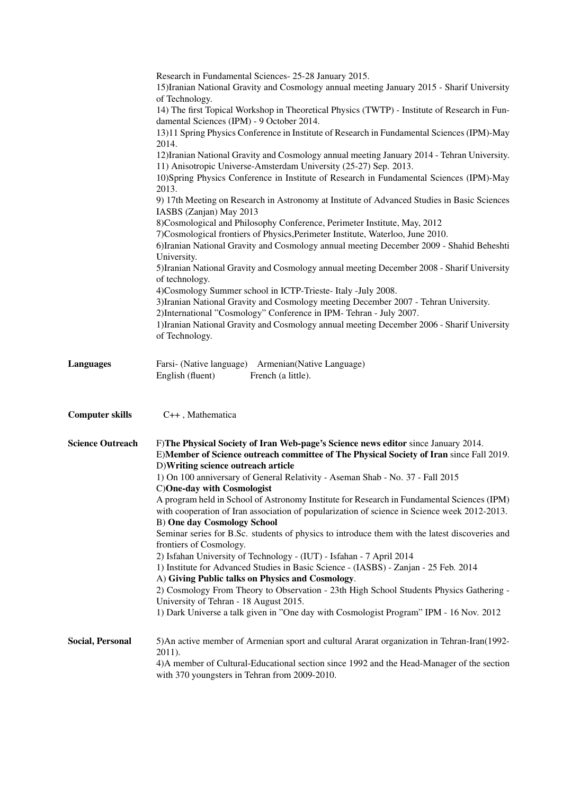|                         | Research in Fundamental Sciences- 25-28 January 2015.<br>15) Iranian National Gravity and Cosmology annual meeting January 2015 - Sharif University<br>of Technology.<br>14) The first Topical Workshop in Theoretical Physics (TWTP) - Institute of Research in Fun-<br>damental Sciences (IPM) - 9 October 2014.<br>13)11 Spring Physics Conference in Institute of Research in Fundamental Sciences (IPM)-May<br>2014.<br>12) Iranian National Gravity and Cosmology annual meeting January 2014 - Tehran University.<br>11) Anisotropic Universe-Amsterdam University (25-27) Sep. 2013.<br>10) Spring Physics Conference in Institute of Research in Fundamental Sciences (IPM)-May<br>2013.<br>9) 17th Meeting on Research in Astronomy at Institute of Advanced Studies in Basic Sciences<br>IASBS (Zanjan) May 2013<br>8) Cosmological and Philosophy Conference, Perimeter Institute, May, 2012<br>7)Cosmological frontiers of Physics, Perimeter Institute, Waterloo, June 2010.<br>6) Iranian National Gravity and Cosmology annual meeting December 2009 - Shahid Beheshti<br>University.<br>5) Iranian National Gravity and Cosmology annual meeting December 2008 - Sharif University<br>of technology.<br>4) Cosmology Summer school in ICTP-Trieste- Italy -July 2008.<br>3) Iranian National Gravity and Cosmology meeting December 2007 - Tehran University.<br>2) International "Cosmology" Conference in IPM- Tehran - July 2007.<br>1) Iranian National Gravity and Cosmology annual meeting December 2006 - Sharif University<br>of Technology. |
|-------------------------|-----------------------------------------------------------------------------------------------------------------------------------------------------------------------------------------------------------------------------------------------------------------------------------------------------------------------------------------------------------------------------------------------------------------------------------------------------------------------------------------------------------------------------------------------------------------------------------------------------------------------------------------------------------------------------------------------------------------------------------------------------------------------------------------------------------------------------------------------------------------------------------------------------------------------------------------------------------------------------------------------------------------------------------------------------------------------------------------------------------------------------------------------------------------------------------------------------------------------------------------------------------------------------------------------------------------------------------------------------------------------------------------------------------------------------------------------------------------------------------------------------------------------------------------------------------------------|
| <b>Languages</b>        | Farsi- (Native language) Armenian (Native Language)<br>English (fluent)<br>French (a little).                                                                                                                                                                                                                                                                                                                                                                                                                                                                                                                                                                                                                                                                                                                                                                                                                                                                                                                                                                                                                                                                                                                                                                                                                                                                                                                                                                                                                                                                         |
| <b>Computer skills</b>  | C++, Mathematica                                                                                                                                                                                                                                                                                                                                                                                                                                                                                                                                                                                                                                                                                                                                                                                                                                                                                                                                                                                                                                                                                                                                                                                                                                                                                                                                                                                                                                                                                                                                                      |
| <b>Science Outreach</b> | F)The Physical Society of Iran Web-page's Science news editor since January 2014.<br>E)Member of Science outreach committee of The Physical Society of Iran since Fall 2019.<br>D) Writing science outreach article<br>1) On 100 anniversary of General Relativity - Aseman Shab - No. 37 - Fall 2015<br>C) One-day with Cosmologist<br>A program held in School of Astronomy Institute for Research in Fundamental Sciences (IPM)<br>with cooperation of Iran association of popularization of science in Science week 2012-2013.<br><b>B)</b> One day Cosmology School<br>Seminar series for B.Sc. students of physics to introduce them with the latest discoveries and<br>frontiers of Cosmology.<br>2) Isfahan University of Technology - (IUT) - Isfahan - 7 April 2014<br>1) Institute for Advanced Studies in Basic Science - (IASBS) - Zanjan - 25 Feb. 2014<br>A) Giving Public talks on Physics and Cosmology.<br>2) Cosmology From Theory to Observation - 23th High School Students Physics Gathering -<br>University of Tehran - 18 August 2015.<br>1) Dark Universe a talk given in "One day with Cosmologist Program" IPM - 16 Nov. 2012                                                                                                                                                                                                                                                                                                                                                                                                              |
| <b>Social, Personal</b> | 5) An active member of Armenian sport and cultural Ararat organization in Tehran-Iran(1992-<br>2011).<br>4) A member of Cultural-Educational section since 1992 and the Head-Manager of the section<br>with 370 youngsters in Tehran from 2009-2010.                                                                                                                                                                                                                                                                                                                                                                                                                                                                                                                                                                                                                                                                                                                                                                                                                                                                                                                                                                                                                                                                                                                                                                                                                                                                                                                  |